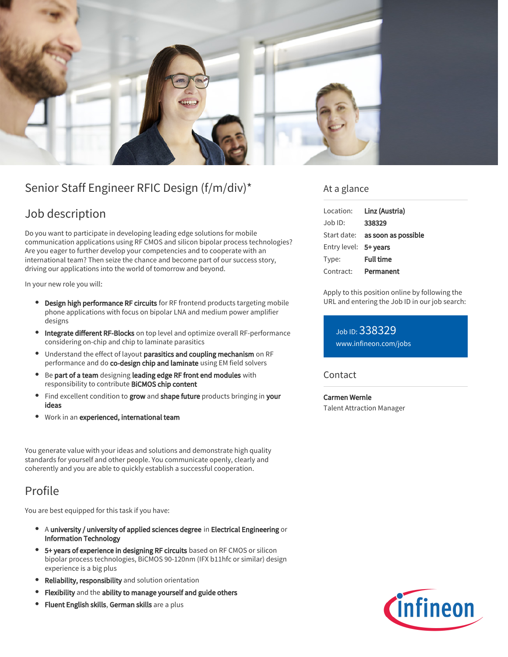

# Senior Staff Engineer RFIC Design (f/m/div)\*

## Job description

Do you want to participate in developing leading edge solutions for mobile communication applications using RF CMOS and silicon bipolar process technologies? Are you eager to further develop your competencies and to cooperate with an international team? Then seize the chance and become part of our success story, driving our applications into the world of tomorrow and beyond.

In your new role you will:

- **Design high performance RF circuits** for RF frontend products targeting mobile phone applications with focus on bipolar LNA and medium power amplifier designs
- Integrate different RF-Blocks on top level and optimize overall RF-performance considering on-chip and chip to laminate parasitics
- Understand the effect of layout parasitics and coupling mechanism on RF performance and do co-design chip and laminate using EM field solvers
- Be part of a team designing leading edge RF front end modules with responsibility to contribute BiCMOS chip content
- Find excellent condition to grow and shape future products bringing in your  $\bullet$ ideas
- Work in an experienced, international team

You generate value with your ideas and solutions and demonstrate high quality standards for yourself and other people. You communicate openly, clearly and coherently and you are able to quickly establish a successful cooperation.

### Profile

You are best equipped for this task if you have:

- A university / university of applied sciences degree in Electrical Engineering or Information Technology
- 5+ years of experience in designing RF circuits based on RF CMOS or silicon bipolar process technologies, BiCMOS 90-120nm (IFX b11hfc or similar) design experience is a big plus
- **Reliability, responsibility** and solution orientation
- Flexibility and the ability to manage yourself and guide others
- **Fluent English skills, German skills** are a plus

### At a glance

| Location:             | Linz (Austria)                         |
|-----------------------|----------------------------------------|
| Job ID:               | 338329                                 |
|                       | Start date: <b>as soon as possible</b> |
| Entry level: 5+ years |                                        |
| Type:                 | <b>Full time</b>                       |
| Contract:             | Permanent                              |

Apply to this position online by following the URL and entering the Job ID in our job search:

Job ID: 338329 [www.infineon.com/jobs](https://www.infineon.com/jobs)

#### **Contact**

Carmen Wernle Talent Attraction Manager